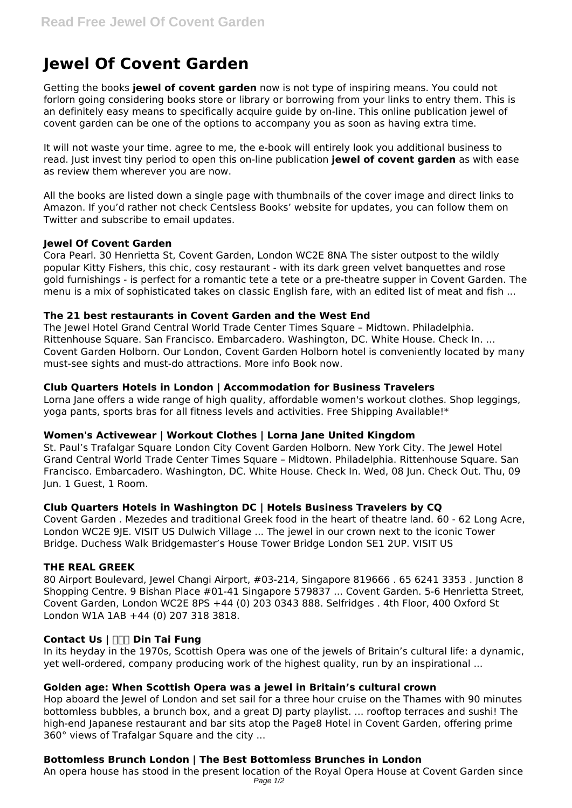# **Jewel Of Covent Garden**

Getting the books **jewel of covent garden** now is not type of inspiring means. You could not forlorn going considering books store or library or borrowing from your links to entry them. This is an definitely easy means to specifically acquire guide by on-line. This online publication jewel of covent garden can be one of the options to accompany you as soon as having extra time.

It will not waste your time. agree to me, the e-book will entirely look you additional business to read. Just invest tiny period to open this on-line publication **jewel of covent garden** as with ease as review them wherever you are now.

All the books are listed down a single page with thumbnails of the cover image and direct links to Amazon. If you'd rather not check Centsless Books' website for updates, you can follow them on Twitter and subscribe to email updates.

# **Jewel Of Covent Garden**

Cora Pearl. 30 Henrietta St, Covent Garden, London WC2E 8NA The sister outpost to the wildly popular Kitty Fishers, this chic, cosy restaurant - with its dark green velvet banquettes and rose gold furnishings - is perfect for a romantic tete a tete or a pre-theatre supper in Covent Garden. The menu is a mix of sophisticated takes on classic English fare, with an edited list of meat and fish ...

## **The 21 best restaurants in Covent Garden and the West End**

The Jewel Hotel Grand Central World Trade Center Times Square – Midtown. Philadelphia. Rittenhouse Square. San Francisco. Embarcadero. Washington, DC. White House. Check In. ... Covent Garden Holborn. Our London, Covent Garden Holborn hotel is conveniently located by many must-see sights and must-do attractions. More info Book now.

## **Club Quarters Hotels in London | Accommodation for Business Travelers**

Lorna Jane offers a wide range of high quality, affordable women's workout clothes. Shop leggings, yoga pants, sports bras for all fitness levels and activities. Free Shipping Available!\*

#### **Women's Activewear | Workout Clothes | Lorna Jane United Kingdom**

St. Paul's Trafalgar Square London City Covent Garden Holborn. New York City. The Jewel Hotel Grand Central World Trade Center Times Square – Midtown. Philadelphia. Rittenhouse Square. San Francisco. Embarcadero. Washington, DC. White House. Check In. Wed, 08 Jun. Check Out. Thu, 09 Jun. 1 Guest, 1 Room.

# **Club Quarters Hotels in Washington DC | Hotels Business Travelers by CQ**

Covent Garden . Mezedes and traditional Greek food in the heart of theatre land. 60 - 62 Long Acre, London WC2E 9JE. VISIT US Dulwich Village ... The jewel in our crown next to the iconic Tower Bridge. Duchess Walk Bridgemaster's House Tower Bridge London SE1 2UP. VISIT US

#### **THE REAL GREEK**

80 Airport Boulevard, Jewel Changi Airport, #03-214, Singapore 819666 . 65 6241 3353 . Junction 8 Shopping Centre. 9 Bishan Place #01-41 Singapore 579837 ... Covent Garden. 5-6 Henrietta Street, Covent Garden, London WC2E 8PS +44 (0) 203 0343 888. Selfridges . 4th Floor, 400 Oxford St London W1A 1AB +44 (0) 207 318 3818.

#### **Contact Us | 鼎泰豐 Din Tai Fung**

In its heyday in the 1970s, Scottish Opera was one of the jewels of Britain's cultural life: a dynamic, yet well-ordered, company producing work of the highest quality, run by an inspirational ...

# **Golden age: When Scottish Opera was a jewel in Britain's cultural crown**

Hop aboard the Jewel of London and set sail for a three hour cruise on the Thames with 90 minutes bottomless bubbles, a brunch box, and a great DJ party playlist. ... rooftop terraces and sushi! The high-end Japanese restaurant and bar sits atop the Page8 Hotel in Covent Garden, offering prime 360° views of Trafalgar Square and the city ...

# **Bottomless Brunch London | The Best Bottomless Brunches in London**

An opera house has stood in the present location of the Royal Opera House at Covent Garden since Page 1/2